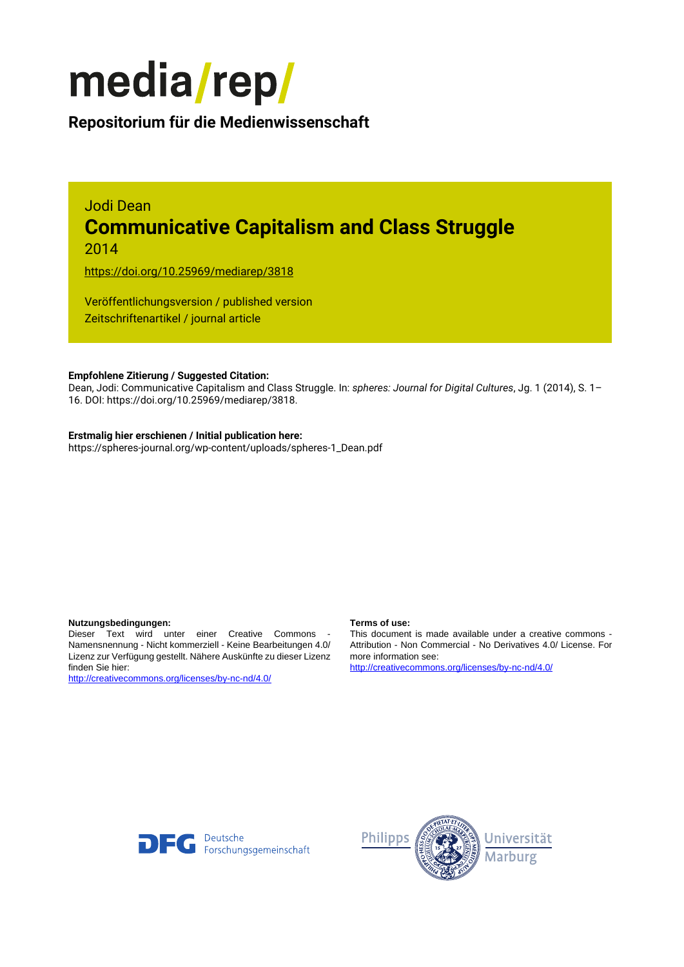

### **Repositorium für die [Medienwissenschaft](https://mediarep.org)**

# Jodi Dean **Communicative Capitalism and Class Struggle**

2014

<https://doi.org/10.25969/mediarep/3818>

Veröffentlichungsversion / published version Zeitschriftenartikel / journal article

### **Empfohlene Zitierung / Suggested Citation:**

Dean, Jodi: Communicative Capitalism and Class Struggle. In: *spheres: Journal for Digital Cultures*, Jg. 1 (2014), S. 1– 16. DOI: https://doi.org/10.25969/mediarep/3818.

### **Erstmalig hier erschienen / Initial publication here:**

https://spheres-journal.org/wp-content/uploads/spheres-1\_Dean.pdf

#### **Nutzungsbedingungen: Terms of use:**

Dieser Text wird unter einer Creative Commons - Namensnennung - Nicht kommerziell - Keine Bearbeitungen 4.0/ Lizenz zur Verfügung gestellt. Nähere Auskünfte zu dieser Lizenz finden Sie hier:

<http://creativecommons.org/licenses/by-nc-nd/4.0/>

This document is made available under a creative commons - Attribution - Non Commercial - No Derivatives 4.0/ License. For more information see:

<http://creativecommons.org/licenses/by-nc-nd/4.0/>



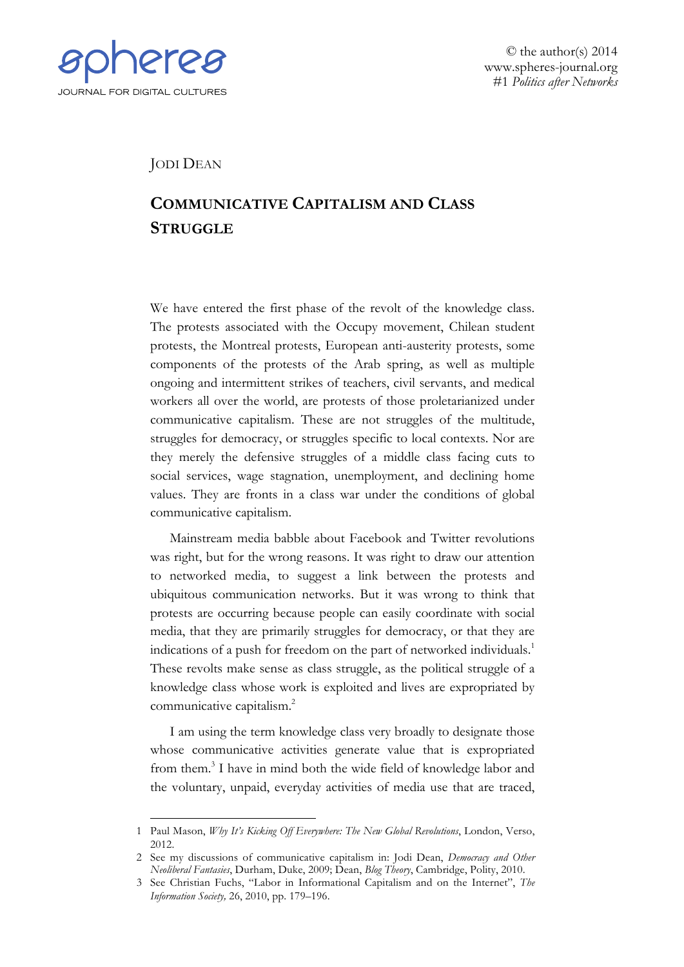

<u>.</u>

© the author(s) 2014 www.spheres-journal.org #1 *Politics after Networks*

JODI DEAN

## **COMMUNICATIVE CAPITALISM AND CLASS STRUGGLE**

We have entered the first phase of the revolt of the knowledge class. The protests associated with the Occupy movement, Chilean student protests, the Montreal protests, European anti-austerity protests, some components of the protests of the Arab spring, as well as multiple ongoing and intermittent strikes of teachers, civil servants, and medical workers all over the world, are protests of those proletarianized under communicative capitalism. These are not struggles of the multitude, struggles for democracy, or struggles specific to local contexts. Nor are they merely the defensive struggles of a middle class facing cuts to social services, wage stagnation, unemployment, and declining home values. They are fronts in a class war under the conditions of global communicative capitalism.

Mainstream media babble about Facebook and Twitter revolutions was right, but for the wrong reasons. It was right to draw our attention to networked media, to suggest a link between the protests and ubiquitous communication networks. But it was wrong to think that protests are occurring because people can easily coordinate with social media, that they are primarily struggles for democracy, or that they are indications of a push for freedom on the part of networked individuals.<sup>1</sup> These revolts make sense as class struggle, as the political struggle of a knowledge class whose work is exploited and lives are expropriated by communicative capitalism.2

I am using the term knowledge class very broadly to designate those whose communicative activities generate value that is expropriated from them.3 I have in mind both the wide field of knowledge labor and the voluntary, unpaid, everyday activities of media use that are traced,

<sup>1</sup> Paul Mason, *Why It's Kicking Off Everywhere: The New Global Revolutions*, London, Verso, 2012.

<sup>2</sup> See my discussions of communicative capitalism in: Jodi Dean, *Democracy and Other Neoliberal Fantasies*, Durham, Duke, 2009; Dean, *Blog Theory*, Cambridge, Polity, 2010.

<sup>3</sup> See Christian Fuchs, "Labor in Informational Capitalism and on the Internet", *The Information Society,* 26, 2010, pp. 179–196.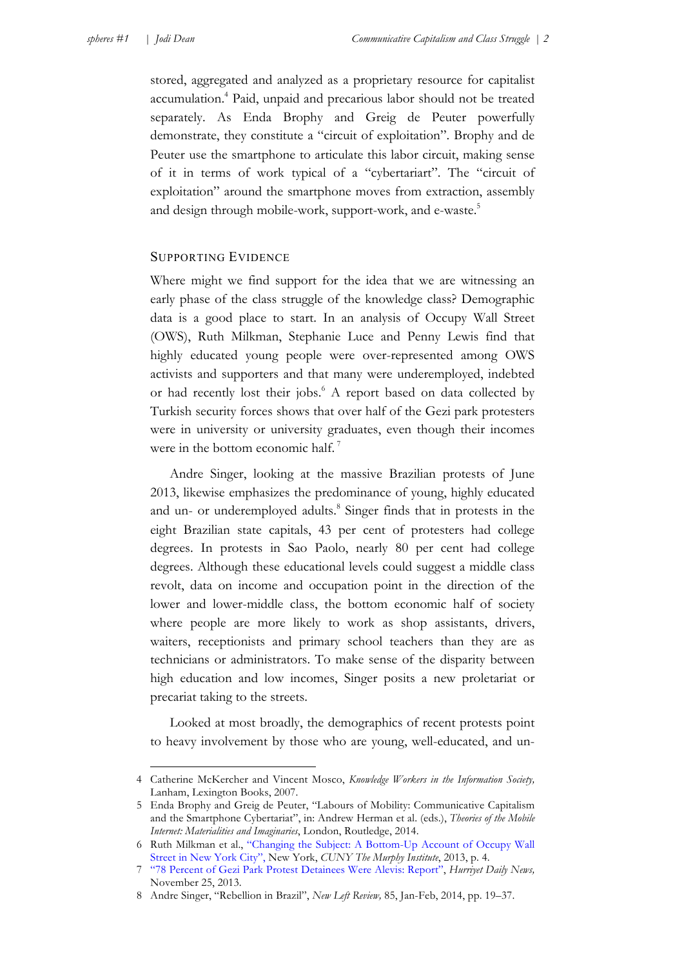stored, aggregated and analyzed as a proprietary resource for capitalist accumulation.4 Paid, unpaid and precarious labor should not be treated separately. As Enda Brophy and Greig de Peuter powerfully demonstrate, they constitute a "circuit of exploitation". Brophy and de Peuter use the smartphone to articulate this labor circuit, making sense of it in terms of work typical of a "cybertariart". The "circuit of exploitation" around the smartphone moves from extraction, assembly and design through mobile-work, support-work, and e-waste.<sup>5</sup>

### SUPPORTING EVIDENCE

Where might we find support for the idea that we are witnessing an early phase of the class struggle of the knowledge class? Demographic data is a good place to start. In an analysis of Occupy Wall Street (OWS), Ruth Milkman, Stephanie Luce and Penny Lewis find that highly educated young people were over-represented among OWS activists and supporters and that many were underemployed, indebted or had recently lost their jobs.<sup>6</sup> A report based on data collected by Turkish security forces shows that over half of the Gezi park protesters were in university or university graduates, even though their incomes were in the bottom economic half.<sup>7</sup>

Andre Singer, looking at the massive Brazilian protests of June 2013, likewise emphasizes the predominance of young, highly educated and un- or underemployed adults.<sup>8</sup> Singer finds that in protests in the eight Brazilian state capitals, 43 per cent of protesters had college degrees. In protests in Sao Paolo, nearly 80 per cent had college degrees. Although these educational levels could suggest a middle class revolt, data on income and occupation point in the direction of the lower and lower-middle class, the bottom economic half of society where people are more likely to work as shop assistants, drivers, waiters, receptionists and primary school teachers than they are as technicians or administrators. To make sense of the disparity between high education and low incomes, Singer posits a new proletariat or precariat taking to the streets.

Looked at most broadly, the demographics of recent protests point to heavy involvement by those who are young, well-educated, and un-

<sup>4</sup> Catherine McKercher and Vincent Mosco, *Knowledge Workers in the Information Society,*  Lanham, Lexington Books, 2007.

<sup>5</sup> Enda Brophy and Greig de Peuter, "Labours of Mobility: Communicative Capitalism and the Smartphone Cybertariat", in: Andrew Herman et al. (eds.), *Theories of the Mobile Internet: Materialities and Imaginaries*, London, Routledge, 2014.

<sup>6</sup> Ruth Milkman [et al., "Changing the Subject: A Bottom-Up Account of Occupy Wall](http://sps.cuny.edu/filestore/1/5/7/1_a05051d2117901d/1571_92f562221b8041e.pdf)  Street in New York City", New York, *CUNY The Murphy Institute*, 2013, p. 4.

<sup>7</sup> ["78 Percent of Gezi Park Protest Detainees Were Alevis: Report"](http://www.hurriyetdailynews.com/78-percent-of-gezi-park-protest-detainees-were-alevis-report-.aspx?pageID=238&nID=58496&NewsCatID=341.), *Hurriyet Daily News,* November 25, 2013.

<sup>8</sup> Andre Singer, "Rebellion in Brazil", *New Left Review,* 85, Jan-Feb, 2014, pp. 19–37.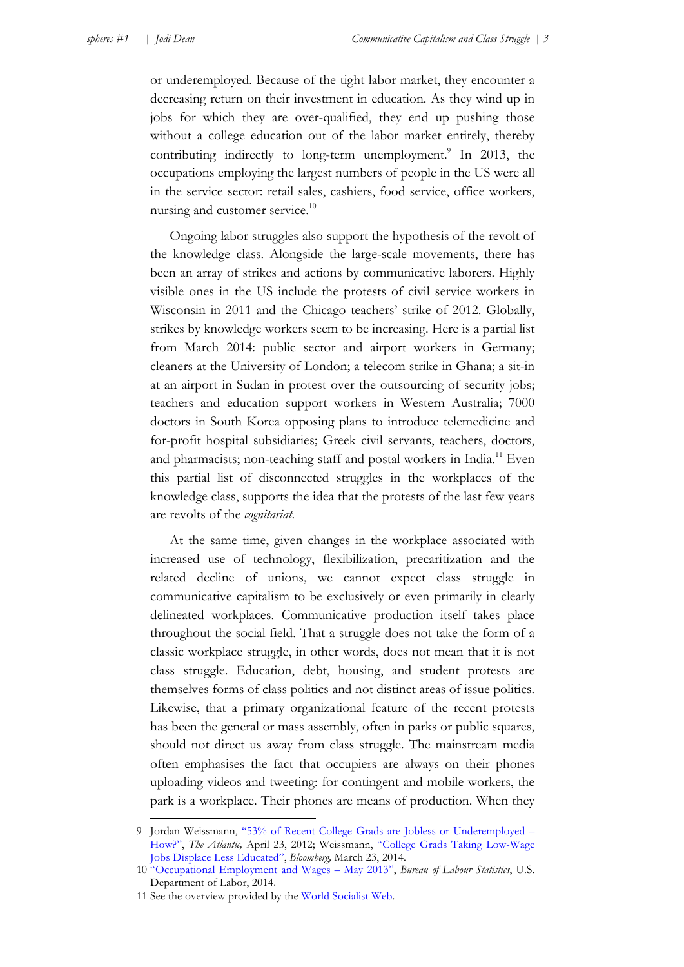or underemployed. Because of the tight labor market, they encounter a decreasing return on their investment in education. As they wind up in jobs for which they are over-qualified, they end up pushing those without a college education out of the labor market entirely, thereby contributing indirectly to long-term unemployment.<sup>9</sup> In 2013, the occupations employing the largest numbers of people in the US were all in the service sector: retail sales, cashiers, food service, office workers, nursing and customer service.<sup>10</sup>

Ongoing labor struggles also support the hypothesis of the revolt of the knowledge class. Alongside the large-scale movements, there has been an array of strikes and actions by communicative laborers. Highly visible ones in the US include the protests of civil service workers in Wisconsin in 2011 and the Chicago teachers' strike of 2012. Globally, strikes by knowledge workers seem to be increasing. Here is a partial list from March 2014: public sector and airport workers in Germany; cleaners at the University of London; a telecom strike in Ghana; a sit-in at an airport in Sudan in protest over the outsourcing of security jobs; teachers and education support workers in Western Australia; 7000 doctors in South Korea opposing plans to introduce telemedicine and for-profit hospital subsidiaries; Greek civil servants, teachers, doctors, and pharmacists; non-teaching staff and postal workers in India.<sup>11</sup> Even this partial list of disconnected struggles in the workplaces of the knowledge class, supports the idea that the protests of the last few years are revolts of the *cognitariat*.

At the same time, given changes in the workplace associated with increased use of technology, flexibilization, precaritization and the related decline of unions, we cannot expect class struggle in communicative capitalism to be exclusively or even primarily in clearly delineated workplaces. Communicative production itself takes place throughout the social field. That a struggle does not take the form of a classic workplace struggle, in other words, does not mean that it is not class struggle. Education, debt, housing, and student protests are themselves forms of class politics and not distinct areas of issue politics. Likewise, that a primary organizational feature of the recent protests has been the general or mass assembly, often in parks or public squares, should not direct us away from class struggle. The mainstream media often emphasises the fact that occupiers are always on their phones uploading videos and tweeting: for contingent and mobile workers, the park is a workplace. Their phones are means of production. When they

<u>.</u>

<sup>9</sup> Jordan Weissmann, ["53% of Recent College Grads are Jobless or Underemployed –](http://www.theatlantic.com/business/archive/2012/04/53-of-recent-college-grads-are-jobless-or-underemployed-how/256237/) [How?",](http://www.theatlantic.com/business/archive/2012/04/53-of-recent-college-grads-are-jobless-or-underemployed-how/256237/) *The Atlantic,* April 23, 2012; Weissmann, ["College Grads Taking Low-Wage](http://www.bloomberg.com/news/2014-03-06/college-grads-taking-low-wage-jobs-displace-less-educated.html)  [Jobs Displace Less Educated",](http://www.bloomberg.com/news/2014-03-06/college-grads-taking-low-wage-jobs-displace-less-educated.html) *Bloomberg,* March 23, 2014.

<sup>10</sup> ["Occupational Employment and Wages –](http://www.bls.gov/news.release/pdf/ocwage.pdf) May 2013", *Bureau of Labour Statistics*, U.S. Department of Labor, 2014.

<sup>11</sup> See the overview provided by the [World Socialist Web](http://www.wsws.org/en/articles/2014/03/28/wkrs-m28.html).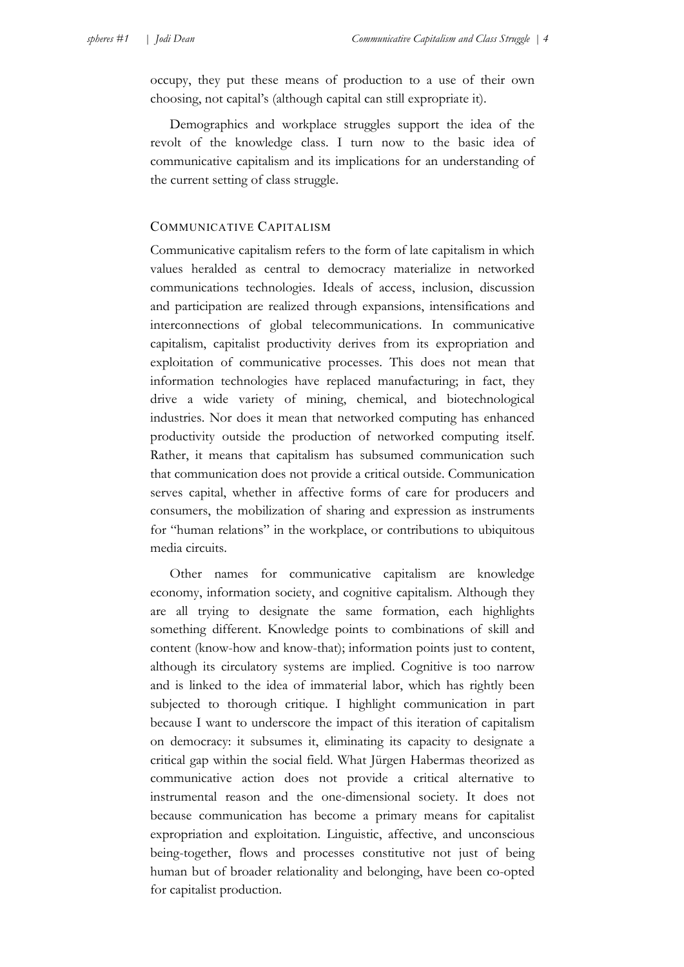occupy, they put these means of production to a use of their own choosing, not capital's (although capital can still expropriate it).

Demographics and workplace struggles support the idea of the revolt of the knowledge class. I turn now to the basic idea of communicative capitalism and its implications for an understanding of the current setting of class struggle.

### COMMUNICATIVE CAPITALISM

Communicative capitalism refers to the form of late capitalism in which values heralded as central to democracy materialize in networked communications technologies. Ideals of access, inclusion, discussion and participation are realized through expansions, intensifications and interconnections of global telecommunications. In communicative capitalism, capitalist productivity derives from its expropriation and exploitation of communicative processes. This does not mean that information technologies have replaced manufacturing; in fact, they drive a wide variety of mining, chemical, and biotechnological industries. Nor does it mean that networked computing has enhanced productivity outside the production of networked computing itself. Rather, it means that capitalism has subsumed communication such that communication does not provide a critical outside. Communication serves capital, whether in affective forms of care for producers and consumers, the mobilization of sharing and expression as instruments for "human relations" in the workplace, or contributions to ubiquitous media circuits.

Other names for communicative capitalism are knowledge economy, information society, and cognitive capitalism. Although they are all trying to designate the same formation, each highlights something different. Knowledge points to combinations of skill and content (know-how and know-that); information points just to content, although its circulatory systems are implied. Cognitive is too narrow and is linked to the idea of immaterial labor, which has rightly been subjected to thorough critique. I highlight communication in part because I want to underscore the impact of this iteration of capitalism on democracy: it subsumes it, eliminating its capacity to designate a critical gap within the social field. What Jürgen Habermas theorized as communicative action does not provide a critical alternative to instrumental reason and the one-dimensional society. It does not because communication has become a primary means for capitalist expropriation and exploitation. Linguistic, affective, and unconscious being-together, flows and processes constitutive not just of being human but of broader relationality and belonging, have been co-opted for capitalist production.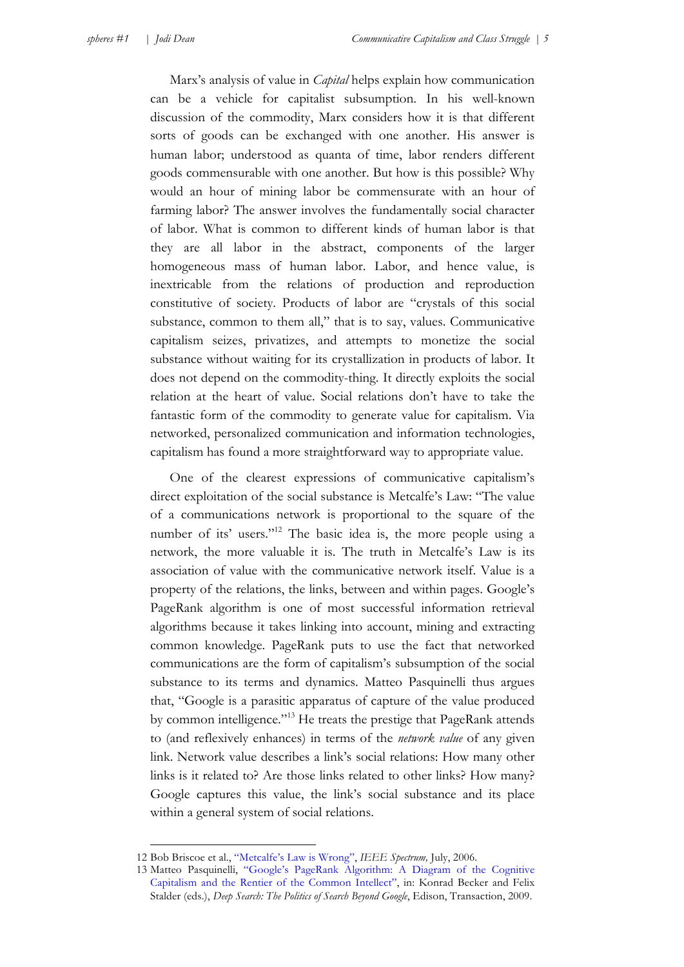Marx's analysis of value in *Capital* helps explain how communication can be a vehicle for capitalist subsumption. In his well-known discussion of the commodity, Marx considers how it is that different sorts of goods can be exchanged with one another. His answer is human labor; understood as quanta of time, labor renders different goods commensurable with one another. But how is this possible? Why would an hour of mining labor be commensurate with an hour of farming labor? The answer involves the fundamentally social character of labor. What is common to different kinds of human labor is that they are all labor in the abstract, components of the larger homogeneous mass of human labor. Labor, and hence value, is inextricable from the relations of production and reproduction constitutive of society. Products of labor are "crystals of this social substance, common to them all," that is to say, values. Communicative capitalism seizes, privatizes, and attempts to monetize the social substance without waiting for its crystallization in products of labor. It does not depend on the commodity-thing. It directly exploits the social relation at the heart of value. Social relations don't have to take the fantastic form of the commodity to generate value for capitalism. Via networked, personalized communication and information technologies, capitalism has found a more straightforward way to appropriate value.

One of the clearest expressions of communicative capitalism's direct exploitation of the social substance is Metcalfe's Law: "The value of a communications network is proportional to the square of the number of its' users."<sup>12</sup> The basic idea is, the more people using a network, the more valuable it is. The truth in Metcalfe's Law is its association of value with the communicative network itself. Value is a property of the relations, the links, between and within pages. Google's PageRank algorithm is one of most successful information retrieval algorithms because it takes linking into account, mining and extracting common knowledge. PageRank puts to use the fact that networked communications are the form of capitalism's subsumption of the social substance to its terms and dynamics. Matteo Pasquinelli thus argues that, "Google is a parasitic apparatus of capture of the value produced by common intelligence."13 He treats the prestige that PageRank attends to (and reflexively enhances) in terms of the *network value* of any given link. Network value describes a link's social relations: How many other links is it related to? Are those links related to other links? How many? Google captures this value, the link's social substance and its place within a general system of social relations.

<u>.</u>

<sup>12</sup> Bob Briscoe et al., ["Metcalfe's Law is Wrong",](http://spectrum.ieee.org/computing/networks/metcalfes-law-is-wrong) *IEEE Spectrum,* July, 2006.

<sup>13</sup> [Matteo Pasquinelli, "Google's PageRank Algorithm: A Diagram of the Cognitive](http://matteopasquinelli.com/docs/Pasquinelli_PageRank.pdf)  Capitalism and the Rentier of the Common Intellect", in: Konrad Becker and Felix Stalder (eds.), *Deep Search: The Politics of Search Beyond Google*, Edison, Transaction, 2009.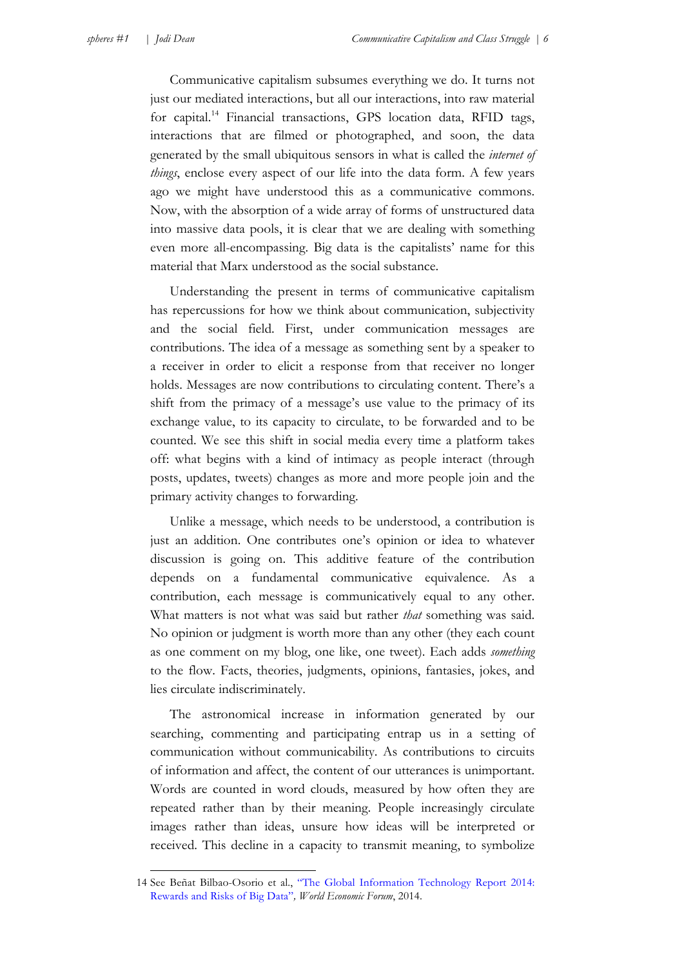1

Communicative capitalism subsumes everything we do. It turns not just our mediated interactions, but all our interactions, into raw material for capital.<sup>14</sup> Financial transactions, GPS location data, RFID tags, interactions that are filmed or photographed, and soon, the data generated by the small ubiquitous sensors in what is called the *internet of things*, enclose every aspect of our life into the data form. A few years ago we might have understood this as a communicative commons. Now, with the absorption of a wide array of forms of unstructured data into massive data pools, it is clear that we are dealing with something even more all-encompassing. Big data is the capitalists' name for this material that Marx understood as the social substance.

Understanding the present in terms of communicative capitalism has repercussions for how we think about communication, subjectivity and the social field. First, under communication messages are contributions. The idea of a message as something sent by a speaker to a receiver in order to elicit a response from that receiver no longer holds. Messages are now contributions to circulating content. There's a shift from the primacy of a message's use value to the primacy of its exchange value, to its capacity to circulate, to be forwarded and to be counted. We see this shift in social media every time a platform takes off: what begins with a kind of intimacy as people interact (through posts, updates, tweets) changes as more and more people join and the primary activity changes to forwarding.

Unlike a message, which needs to be understood, a contribution is just an addition. One contributes one's opinion or idea to whatever discussion is going on. This additive feature of the contribution depends on a fundamental communicative equivalence. As a contribution, each message is communicatively equal to any other. What matters is not what was said but rather *that* something was said. No opinion or judgment is worth more than any other (they each count as one comment on my blog, one like, one tweet). Each adds *something* to the flow. Facts, theories, judgments, opinions, fantasies, jokes, and lies circulate indiscriminately.

The astronomical increase in information generated by our searching, commenting and participating entrap us in a setting of communication without communicability. As contributions to circuits of information and affect, the content of our utterances is unimportant. Words are counted in word clouds, measured by how often they are repeated rather than by their meaning. People increasingly circulate images rather than ideas, unsure how ideas will be interpreted or received. This decline in a capacity to transmit meaning, to symbolize

<sup>14</sup> [See Beñat Bilbao-Osorio et al., "The Global Information Technology Report 2014:](http://www3.weforum.org/docs/WEF_GlobalInformationTechnology_Report_2014.pdf)  Rewards and Risks of Big Data"*, World Economic Forum*, 2014.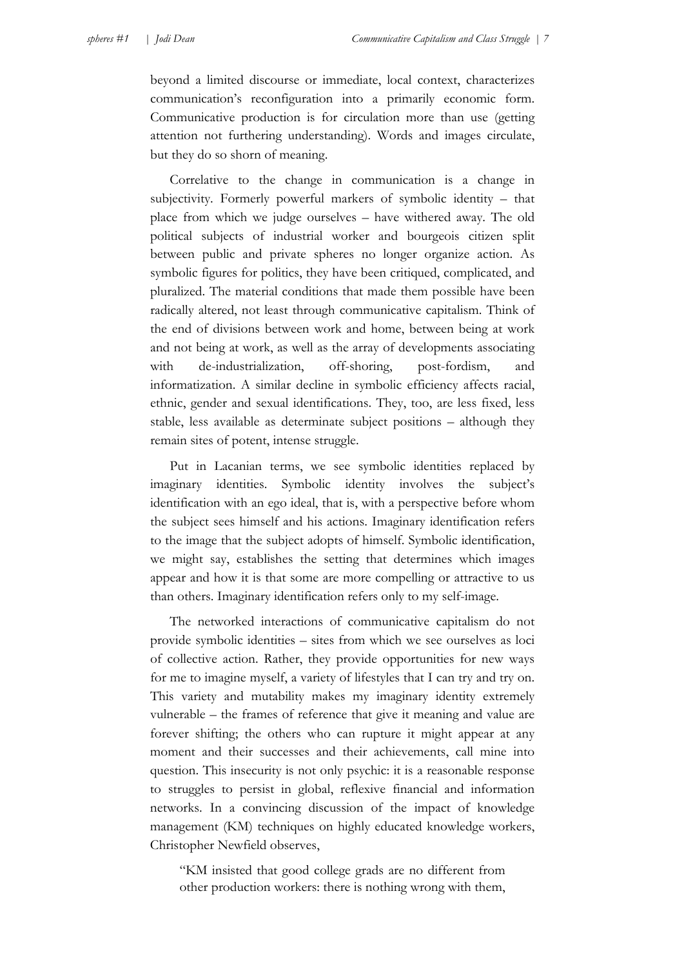beyond a limited discourse or immediate, local context, characterizes communication's reconfiguration into a primarily economic form. Communicative production is for circulation more than use (getting attention not furthering understanding). Words and images circulate, but they do so shorn of meaning.

Correlative to the change in communication is a change in subjectivity. Formerly powerful markers of symbolic identity – that place from which we judge ourselves – have withered away. The old political subjects of industrial worker and bourgeois citizen split between public and private spheres no longer organize action. As symbolic figures for politics, they have been critiqued, complicated, and pluralized. The material conditions that made them possible have been radically altered, not least through communicative capitalism. Think of the end of divisions between work and home, between being at work and not being at work, as well as the array of developments associating with de-industrialization, off-shoring, post-fordism, and informatization. A similar decline in symbolic efficiency affects racial, ethnic, gender and sexual identifications. They, too, are less fixed, less stable, less available as determinate subject positions – although they remain sites of potent, intense struggle.

Put in Lacanian terms, we see symbolic identities replaced by imaginary identities. Symbolic identity involves the subject's identification with an ego ideal, that is, with a perspective before whom the subject sees himself and his actions. Imaginary identification refers to the image that the subject adopts of himself. Symbolic identification, we might say, establishes the setting that determines which images appear and how it is that some are more compelling or attractive to us than others. Imaginary identification refers only to my self-image.

The networked interactions of communicative capitalism do not provide symbolic identities – sites from which we see ourselves as loci of collective action. Rather, they provide opportunities for new ways for me to imagine myself, a variety of lifestyles that I can try and try on. This variety and mutability makes my imaginary identity extremely vulnerable – the frames of reference that give it meaning and value are forever shifting; the others who can rupture it might appear at any moment and their successes and their achievements, call mine into question. This insecurity is not only psychic: it is a reasonable response to struggles to persist in global, reflexive financial and information networks. In a convincing discussion of the impact of knowledge management (KM) techniques on highly educated knowledge workers, Christopher Newfield observes,

"KM insisted that good college grads are no different from other production workers: there is nothing wrong with them,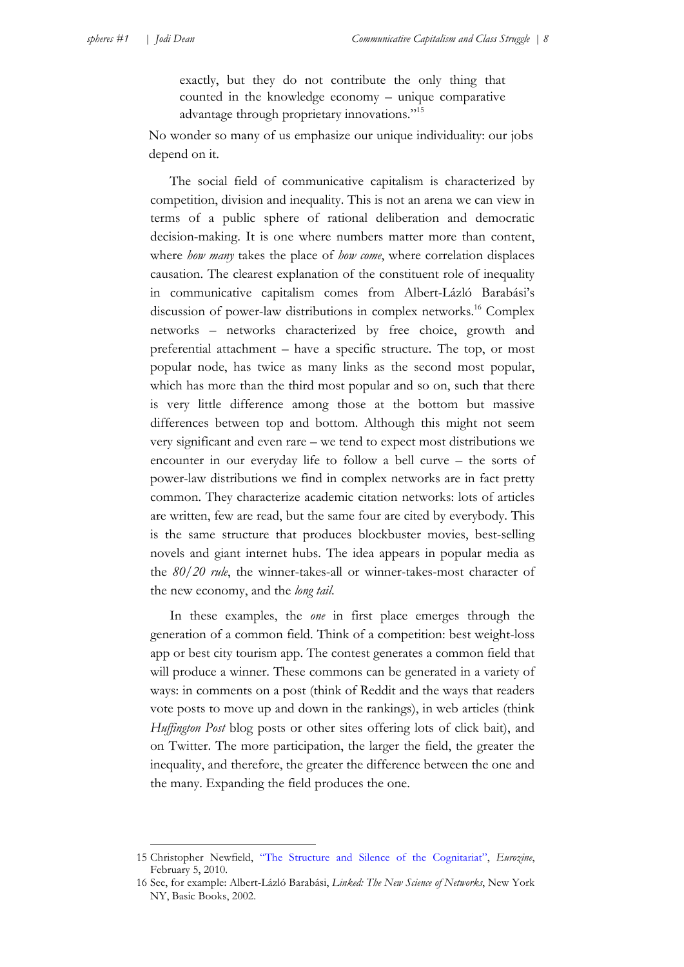exactly, but they do not contribute the only thing that counted in the knowledge economy – unique comparative advantage through proprietary innovations."15

No wonder so many of us emphasize our unique individuality: our jobs depend on it.

The social field of communicative capitalism is characterized by competition, division and inequality. This is not an arena we can view in terms of a public sphere of rational deliberation and democratic decision-making. It is one where numbers matter more than content, where *how many* takes the place of *how come*, where correlation displaces causation. The clearest explanation of the constituent role of inequality in communicative capitalism comes from Albert-Lázló Barabási's discussion of power-law distributions in complex networks.<sup>16</sup> Complex networks – networks characterized by free choice, growth and preferential attachment – have a specific structure. The top, or most popular node, has twice as many links as the second most popular, which has more than the third most popular and so on, such that there is very little difference among those at the bottom but massive differences between top and bottom. Although this might not seem very significant and even rare – we tend to expect most distributions we encounter in our everyday life to follow a bell curve – the sorts of power-law distributions we find in complex networks are in fact pretty common. They characterize academic citation networks: lots of articles are written, few are read, but the same four are cited by everybody. This is the same structure that produces blockbuster movies, best-selling novels and giant internet hubs. The idea appears in popular media as the *80/20 rule*, the winner-takes-all or winner-takes-most character of the new economy, and the *long tail*.

In these examples, the *one* in first place emerges through the generation of a common field. Think of a competition: best weight-loss app or best city tourism app. The contest generates a common field that will produce a winner. These commons can be generated in a variety of ways: in comments on a post (think of Reddit and the ways that readers vote posts to move up and down in the rankings), in web articles (think *Huffington Post* blog posts or other sites offering lots of click bait), and on Twitter. The more participation, the larger the field, the greater the inequality, and therefore, the greater the difference between the one and the many. Expanding the field produces the one.

<sup>15</sup> Christopher Newfield, ["The Structure and Silence of the Cognitariat"](http://www.eurozine.com/articles/2010-   02-05-newfield-en.html), *Eurozine*, February 5, 2010.

<sup>16</sup> See, for example: Albert-Lázló Barabási, *Linked: The New Science of Networks*, New York NY, Basic Books, 2002.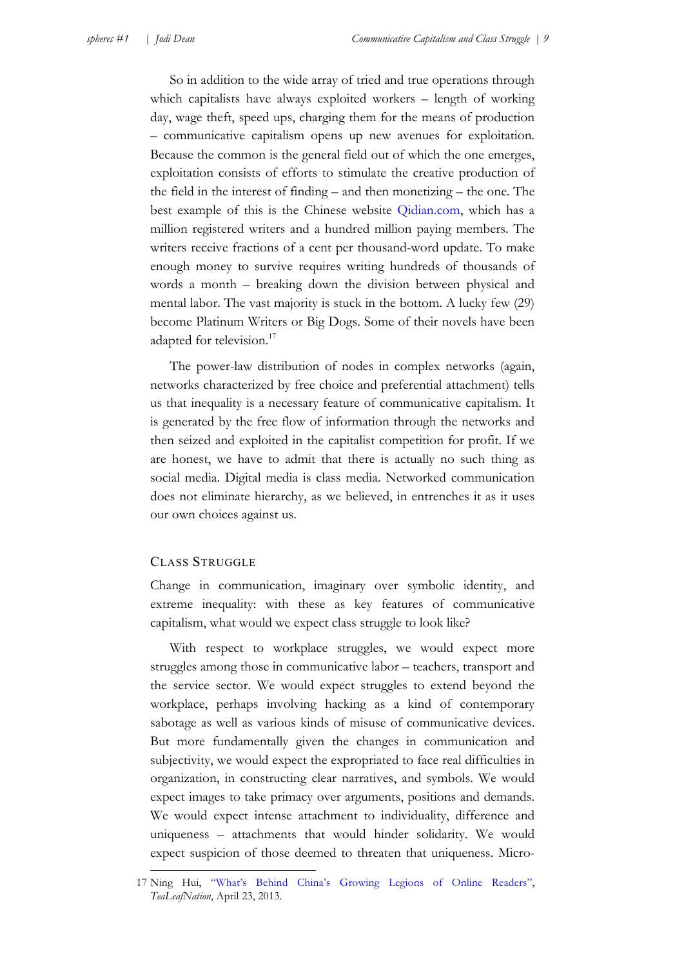So in addition to the wide array of tried and true operations through which capitalists have always exploited workers – length of working day, wage theft, speed ups, charging them for the means of production – communicative capitalism opens up new avenues for exploitation. Because the common is the general field out of which the one emerges, exploitation consists of efforts to stimulate the creative production of the field in the interest of finding – and then monetizing – the one. The best example of this is the Chinese website [Qidian.com](http://www.Qidian.com), which has a million registered writers and a hundred million paying members. The writers receive fractions of a cent per thousand-word update. To make enough money to survive requires writing hundreds of thousands of words a month – breaking down the division between physical and mental labor. The vast majority is stuck in the bottom. A lucky few (29) become Platinum Writers or Big Dogs. Some of their novels have been adapted for television.<sup>17</sup>

The power-law distribution of nodes in complex networks (again, networks characterized by free choice and preferential attachment) tells us that inequality is a necessary feature of communicative capitalism. It is generated by the free flow of information through the networks and then seized and exploited in the capitalist competition for profit. If we are honest, we have to admit that there is actually no such thing as social media. Digital media is class media. Networked communication does not eliminate hierarchy, as we believed, in entrenches it as it uses our own choices against us.

### CLASS STRUGGLE

1

Change in communication, imaginary over symbolic identity, and extreme inequality: with these as key features of communicative capitalism, what would we expect class struggle to look like?

With respect to workplace struggles, we would expect more struggles among those in communicative labor – teachers, transport and the service sector. We would expect struggles to extend beyond the workplace, perhaps involving hacking as a kind of contemporary sabotage as well as various kinds of misuse of communicative devices. But more fundamentally given the changes in communication and subjectivity, we would expect the expropriated to face real difficulties in organization, in constructing clear narratives, and symbols. We would expect images to take primacy over arguments, positions and demands. We would expect intense attachment to individuality, difference and uniqueness – attachments that would hinder solidarity. We would expect suspicion of those deemed to threaten that uniqueness. Micro-

<sup>17</sup> Ning Hui, ["What's Behind China's Growing Legions of Online Readers"](http://www.tealeafnation.com/2013/04/whats-behind-chinas-growing-legions-of-online-readers/), *TeaLeafNation*, April 23, 2013.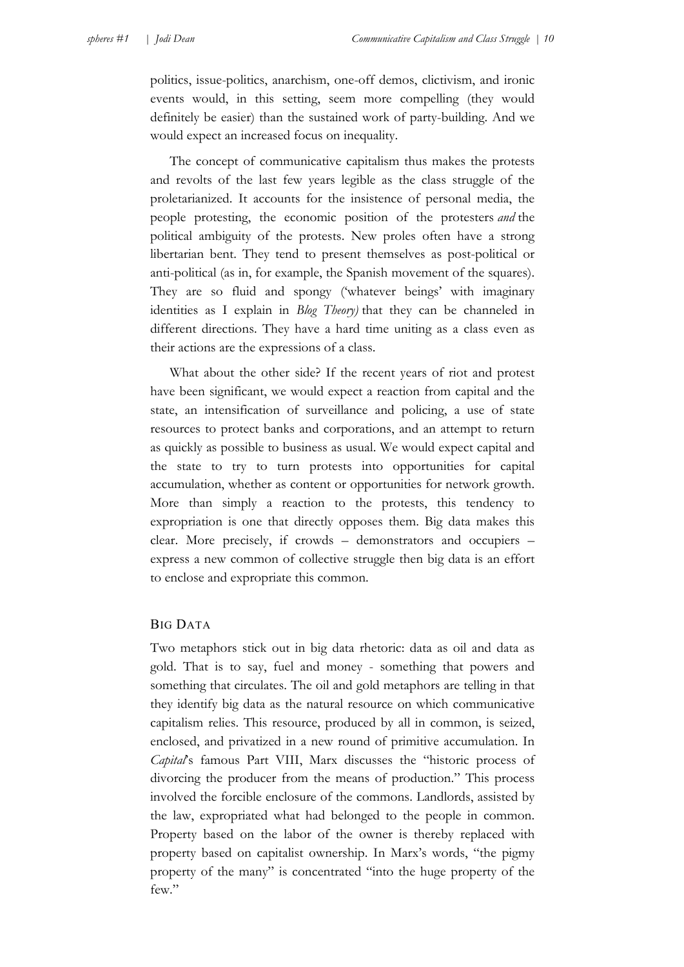politics, issue-politics, anarchism, one-off demos, clictivism, and ironic events would, in this setting, seem more compelling (they would definitely be easier) than the sustained work of party-building. And we would expect an increased focus on inequality.

The concept of communicative capitalism thus makes the protests and revolts of the last few years legible as the class struggle of the proletarianized. It accounts for the insistence of personal media, the people protesting, the economic position of the protesters *and* the political ambiguity of the protests. New proles often have a strong libertarian bent. They tend to present themselves as post-political or anti-political (as in, for example, the Spanish movement of the squares). They are so fluid and spongy ('whatever beings' with imaginary identities as I explain in *Blog Theory)* that they can be channeled in different directions. They have a hard time uniting as a class even as their actions are the expressions of a class.

What about the other side? If the recent years of riot and protest have been significant, we would expect a reaction from capital and the state, an intensification of surveillance and policing, a use of state resources to protect banks and corporations, and an attempt to return as quickly as possible to business as usual. We would expect capital and the state to try to turn protests into opportunities for capital accumulation, whether as content or opportunities for network growth. More than simply a reaction to the protests, this tendency to expropriation is one that directly opposes them. Big data makes this clear. More precisely, if crowds – demonstrators and occupiers – express a new common of collective struggle then big data is an effort to enclose and expropriate this common.

### BIG DATA

Two metaphors stick out in big data rhetoric: data as oil and data as gold. That is to say, fuel and money - something that powers and something that circulates. The oil and gold metaphors are telling in that they identify big data as the natural resource on which communicative capitalism relies. This resource, produced by all in common, is seized, enclosed, and privatized in a new round of primitive accumulation. In *Capital*'s famous Part VIII, Marx discusses the "historic process of divorcing the producer from the means of production." This process involved the forcible enclosure of the commons. Landlords, assisted by the law, expropriated what had belonged to the people in common. Property based on the labor of the owner is thereby replaced with property based on capitalist ownership. In Marx's words, "the pigmy property of the many" is concentrated "into the huge property of the few."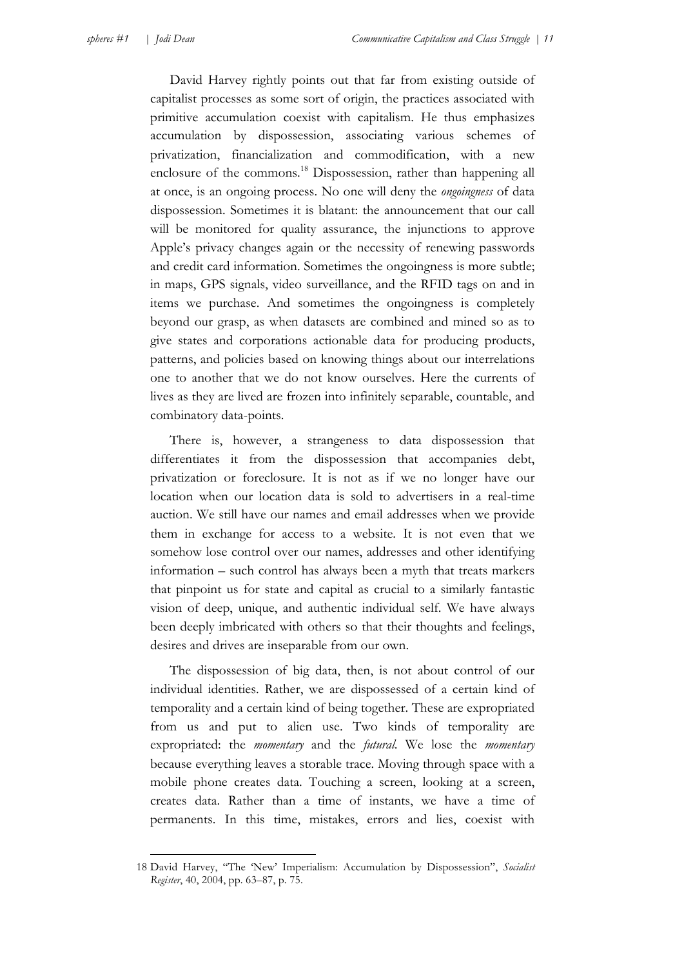<u>.</u>

David Harvey rightly points out that far from existing outside of capitalist processes as some sort of origin, the practices associated with primitive accumulation coexist with capitalism. He thus emphasizes accumulation by dispossession, associating various schemes of privatization, financialization and commodification, with a new enclosure of the commons.<sup>18</sup> Dispossession, rather than happening all at once, is an ongoing process. No one will deny the *ongoingness* of data dispossession. Sometimes it is blatant: the announcement that our call will be monitored for quality assurance, the injunctions to approve Apple's privacy changes again or the necessity of renewing passwords and credit card information. Sometimes the ongoingness is more subtle; in maps, GPS signals, video surveillance, and the RFID tags on and in items we purchase. And sometimes the ongoingness is completely beyond our grasp, as when datasets are combined and mined so as to give states and corporations actionable data for producing products, patterns, and policies based on knowing things about our interrelations one to another that we do not know ourselves. Here the currents of lives as they are lived are frozen into infinitely separable, countable, and combinatory data-points.

There is, however, a strangeness to data dispossession that differentiates it from the dispossession that accompanies debt, privatization or foreclosure. It is not as if we no longer have our location when our location data is sold to advertisers in a real-time auction. We still have our names and email addresses when we provide them in exchange for access to a website. It is not even that we somehow lose control over our names, addresses and other identifying information – such control has always been a myth that treats markers that pinpoint us for state and capital as crucial to a similarly fantastic vision of deep, unique, and authentic individual self. We have always been deeply imbricated with others so that their thoughts and feelings, desires and drives are inseparable from our own.

The dispossession of big data, then, is not about control of our individual identities. Rather, we are dispossessed of a certain kind of temporality and a certain kind of being together. These are expropriated from us and put to alien use. Two kinds of temporality are expropriated: the *momentary* and the *futural*. We lose the *momentary* because everything leaves a storable trace. Moving through space with a mobile phone creates data. Touching a screen, looking at a screen, creates data. Rather than a time of instants, we have a time of permanents. In this time, mistakes, errors and lies, coexist with

<sup>18</sup> David Harvey, "The 'New' Imperialism: Accumulation by Dispossession", *Socialist Register*, 40, 2004, pp. 63–87, p. 75.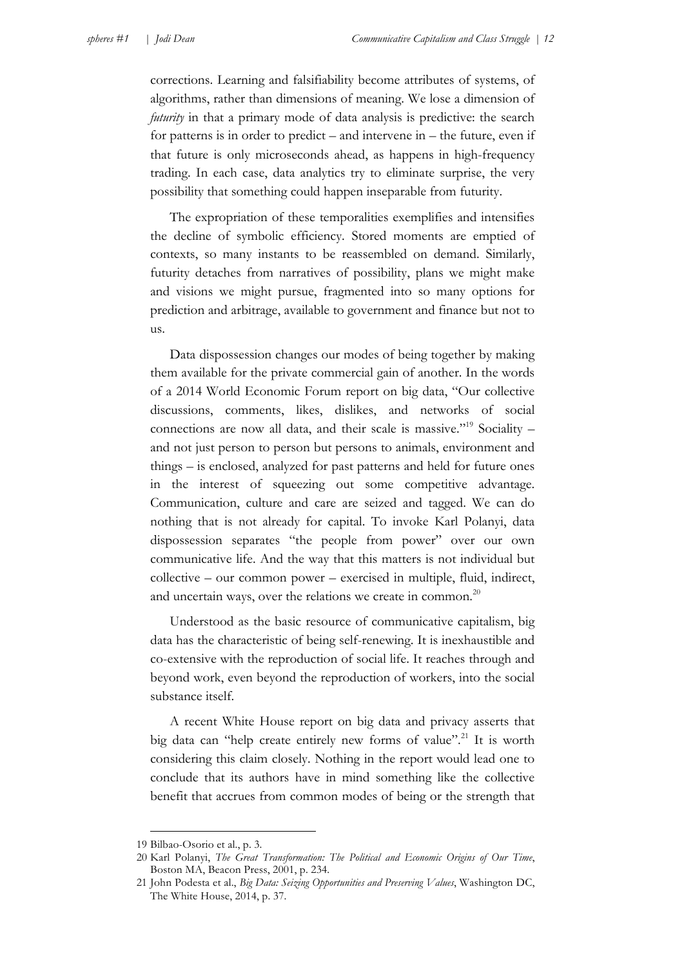corrections. Learning and falsifiability become attributes of systems, of algorithms, rather than dimensions of meaning. We lose a dimension of *futurity* in that a primary mode of data analysis is predictive: the search for patterns is in order to predict – and intervene in – the future, even if that future is only microseconds ahead, as happens in high-frequency trading. In each case, data analytics try to eliminate surprise, the very possibility that something could happen inseparable from futurity.

The expropriation of these temporalities exemplifies and intensifies the decline of symbolic efficiency. Stored moments are emptied of contexts, so many instants to be reassembled on demand. Similarly, futurity detaches from narratives of possibility, plans we might make and visions we might pursue, fragmented into so many options for prediction and arbitrage, available to government and finance but not to us.

Data dispossession changes our modes of being together by making them available for the private commercial gain of another. In the words of a 2014 World Economic Forum report on big data, "Our collective discussions, comments, likes, dislikes, and networks of social connections are now all data, and their scale is massive."<sup>19</sup> Sociality – and not just person to person but persons to animals, environment and things – is enclosed, analyzed for past patterns and held for future ones in the interest of squeezing out some competitive advantage. Communication, culture and care are seized and tagged. We can do nothing that is not already for capital. To invoke Karl Polanyi, data dispossession separates "the people from power" over our own communicative life. And the way that this matters is not individual but collective – our common power – exercised in multiple, fluid, indirect, and uncertain ways, over the relations we create in common. $^{20}$ 

Understood as the basic resource of communicative capitalism, big data has the characteristic of being self-renewing. It is inexhaustible and co-extensive with the reproduction of social life. It reaches through and beyond work, even beyond the reproduction of workers, into the social substance itself.

A recent White House report on big data and privacy asserts that big data can "help create entirely new forms of value".<sup>21</sup> It is worth considering this claim closely. Nothing in the report would lead one to conclude that its authors have in mind something like the collective benefit that accrues from common modes of being or the strength that

<u>.</u>

<sup>19</sup> Bilbao-Osorio et al., p. 3.

<sup>20</sup> Karl Polanyi, *The Great Transformation: The Political and Economic Origins of Our Time*, Boston MA, Beacon Press, 2001, p. 234.

<sup>21</sup> John Podesta et al., *Big Data: Seizing Opportunities and Preserving Values*, Washington DC, The White House, 2014, p. 37.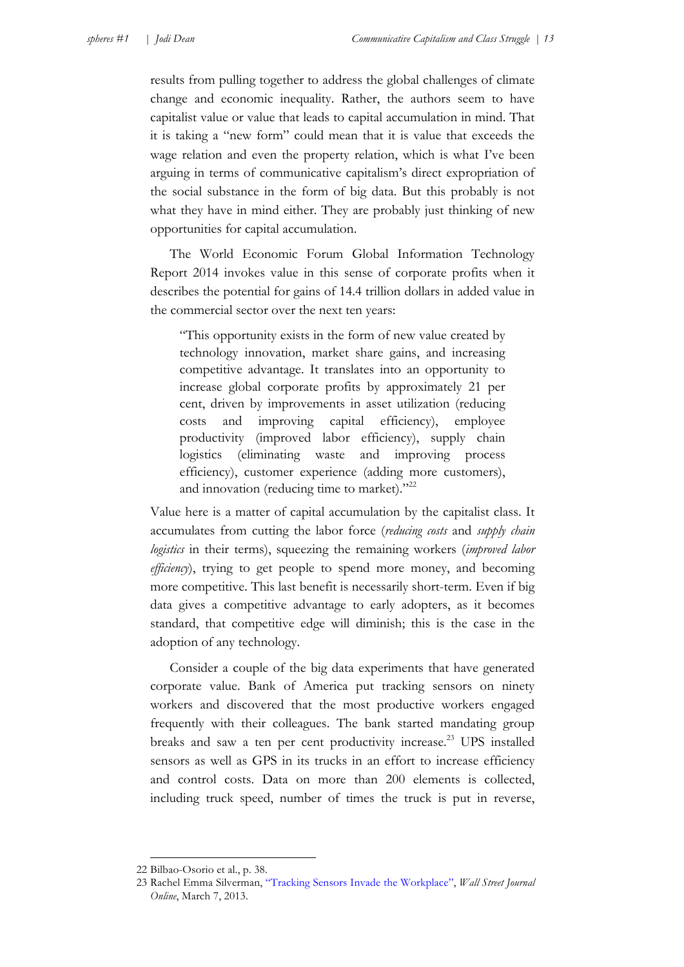results from pulling together to address the global challenges of climate change and economic inequality. Rather, the authors seem to have capitalist value or value that leads to capital accumulation in mind. That it is taking a "new form" could mean that it is value that exceeds the wage relation and even the property relation, which is what I've been arguing in terms of communicative capitalism's direct expropriation of the social substance in the form of big data. But this probably is not what they have in mind either. They are probably just thinking of new opportunities for capital accumulation.

The World Economic Forum Global Information Technology Report 2014 invokes value in this sense of corporate profits when it describes the potential for gains of 14.4 trillion dollars in added value in the commercial sector over the next ten years:

"This opportunity exists in the form of new value created by technology innovation, market share gains, and increasing competitive advantage. It translates into an opportunity to increase global corporate profits by approximately 21 per cent, driven by improvements in asset utilization (reducing costs and improving capital efficiency), employee productivity (improved labor efficiency), supply chain logistics (eliminating waste and improving process efficiency), customer experience (adding more customers), and innovation (reducing time to market)."<sup>22</sup>

Value here is a matter of capital accumulation by the capitalist class. It accumulates from cutting the labor force (*reducing costs* and *supply chain logistics* in their terms), squeezing the remaining workers (*improved labor efficiency*), trying to get people to spend more money, and becoming more competitive. This last benefit is necessarily short-term. Even if big data gives a competitive advantage to early adopters, as it becomes standard, that competitive edge will diminish; this is the case in the adoption of any technology.

Consider a couple of the big data experiments that have generated corporate value. Bank of America put tracking sensors on ninety workers and discovered that the most productive workers engaged frequently with their colleagues. The bank started mandating group breaks and saw a ten per cent productivity increase.<sup>23</sup> UPS installed sensors as well as GPS in its trucks in an effort to increase efficiency and control costs. Data on more than 200 elements is collected, including truck speed, number of times the truck is put in reverse,

1

<sup>22</sup> Bilbao-Osorio et al., p. 38.

<sup>23</sup> Rachel Emma Silverman, ["Tracking Sensors Invade the Workplace"](http://online.wsj.com/articles/SB10001424127887324034804578344303429080678), *Wall Street Journal Online*, March 7, 2013.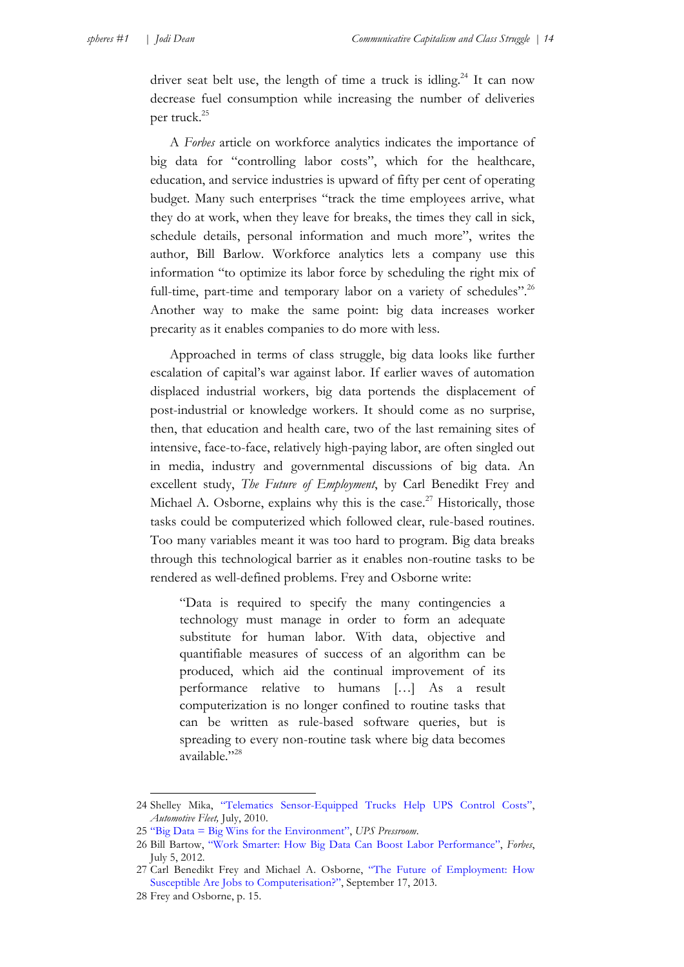driver seat belt use, the length of time a truck is idling.<sup>24</sup> It can now decrease fuel consumption while increasing the number of deliveries per truck.<sup>25</sup>

A *Forbes* article on workforce analytics indicates the importance of big data for "controlling labor costs", which for the healthcare, education, and service industries is upward of fifty per cent of operating budget. Many such enterprises "track the time employees arrive, what they do at work, when they leave for breaks, the times they call in sick, schedule details, personal information and much more", writes the author, Bill Barlow. Workforce analytics lets a company use this information "to optimize its labor force by scheduling the right mix of full-time, part-time and temporary labor on a variety of schedules".<sup>26</sup> Another way to make the same point: big data increases worker precarity as it enables companies to do more with less.

Approached in terms of class struggle, big data looks like further escalation of capital's war against labor. If earlier waves of automation displaced industrial workers, big data portends the displacement of post-industrial or knowledge workers. It should come as no surprise, then, that education and health care, two of the last remaining sites of intensive, face-to-face, relatively high-paying labor, are often singled out in media, industry and governmental discussions of big data. An excellent study, *The Future of Employment*, by Carl Benedikt Frey and Michael A. Osborne, explains why this is the case.<sup>27</sup> Historically, those tasks could be computerized which followed clear, rule-based routines. Too many variables meant it was too hard to program. Big data breaks through this technological barrier as it enables non-routine tasks to be rendered as well-defined problems. Frey and Osborne write:

"Data is required to specify the many contingencies a technology must manage in order to form an adequate substitute for human labor. With data, objective and quantifiable measures of success of an algorithm can be produced, which aid the continual improvement of its performance relative to humans […] As a result computerization is no longer confined to routine tasks that can be written as rule-based software queries, but is spreading to every non-routine task where big data becomes available."28

1

<sup>24</sup> Shelley Mika, ["Telematics Sensor-Equipped Trucks Help UPS Control Costs",](http://www.automotive-fleet.com/channel/green-fleet/article/story/2010/07/green-fleet-telematics-sensor-equipped-trucks-help-ups-control-costs/page/1.aspx) *Automotive Fleet,* July, 2010.

<sup>25</sup> ["Big Data = Big Wins for the Environment"](http://www.pressroom.ups.com/pressroom/staticfiles/pdf/fact_sheets/UPS-big-data-infographic-900x2708.pdf), *UPS Pressroom*.

<sup>26</sup> Bill Bartow, ["Work Smarter: How Big Data Can Boost Labor Performance"](http://www.forbes.com/sites/ciocentral/2012/07/05/work-smarter-how-big-data-can-boost-labor-performance/), *Forbes*, July 5, 2012.

<sup>27</sup> [Carl Benedikt Frey and Michael A. Osborne, "The Future of Employment: How](http://www.oxfordmartin.ox.ac.uk/downloads/academic/The_Future_of_Employment.pdf)  Susceptible Are Jobs to Computerisation?", September 17, 2013.

<sup>28</sup> Frey and Osborne, p. 15.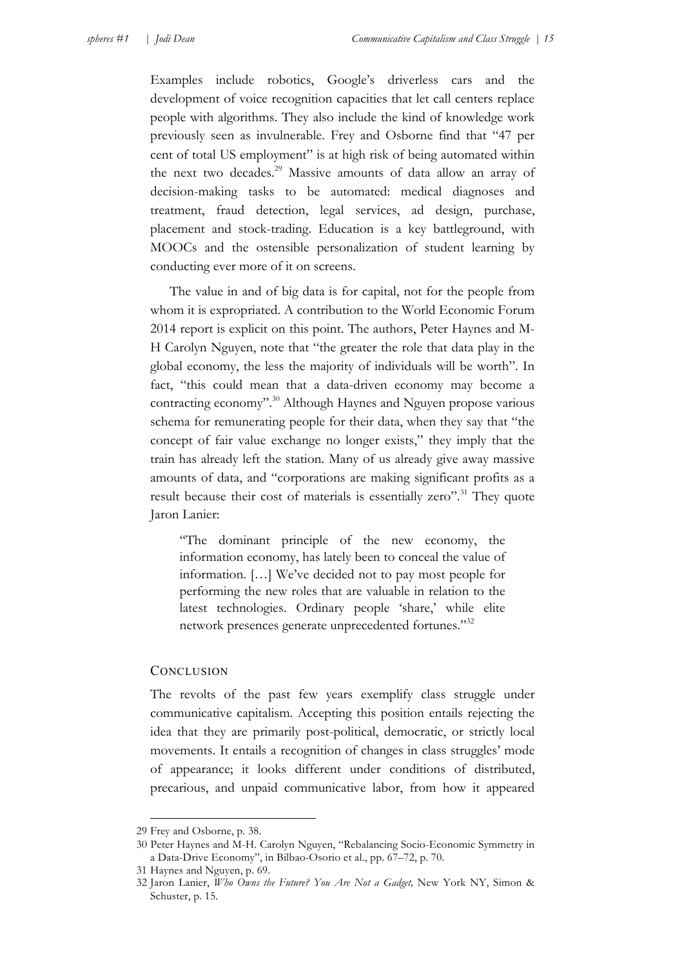Examples include robotics, Google's driverless cars and the development of voice recognition capacities that let call centers replace people with algorithms. They also include the kind of knowledge work previously seen as invulnerable. Frey and Osborne find that "47 per cent of total US employment" is at high risk of being automated within the next two decades.<sup>29</sup> Massive amounts of data allow an array of decision-making tasks to be automated: medical diagnoses and treatment, fraud detection, legal services, ad design, purchase, placement and stock-trading. Education is a key battleground, with MOOCs and the ostensible personalization of student learning by conducting ever more of it on screens.

The value in and of big data is for capital, not for the people from whom it is expropriated. A contribution to the World Economic Forum 2014 report is explicit on this point. The authors, Peter Haynes and M-H Carolyn Nguyen, note that "the greater the role that data play in the global economy, the less the majority of individuals will be worth". In fact, "this could mean that a data-driven economy may become a contracting economy".<sup>30</sup> Although Haynes and Nguyen propose various schema for remunerating people for their data, when they say that "the concept of fair value exchange no longer exists," they imply that the train has already left the station. Many of us already give away massive amounts of data, and "corporations are making significant profits as a result because their cost of materials is essentially zero".<sup>31</sup> They quote Jaron Lanier:

"The dominant principle of the new economy, the information economy, has lately been to conceal the value of information. […] We've decided not to pay most people for performing the new roles that are valuable in relation to the latest technologies. Ordinary people 'share,' while elite network presences generate unprecedented fortunes."32

### **CONCLUSION**

The revolts of the past few years exemplify class struggle under communicative capitalism. Accepting this position entails rejecting the idea that they are primarily post-political, democratic, or strictly local movements. It entails a recognition of changes in class struggles' mode of appearance; it looks different under conditions of distributed, precarious, and unpaid communicative labor, from how it appeared

<sup>29</sup> Frey and Osborne, p. 38.

<sup>30</sup> Peter Haynes and M-H. Carolyn Nguyen, "Rebalancing Socio-Economic Symmetry in a Data-Drive Economy", in Bilbao-Osorio et al., pp. 67–72, p. 70.

<sup>31</sup> Haynes and Nguyen, p. 69.

<sup>32</sup> Jaron Lanier, *Who Owns the Future? You Are Not a Gadget,* New York NY, Simon & Schuster, p. 15.